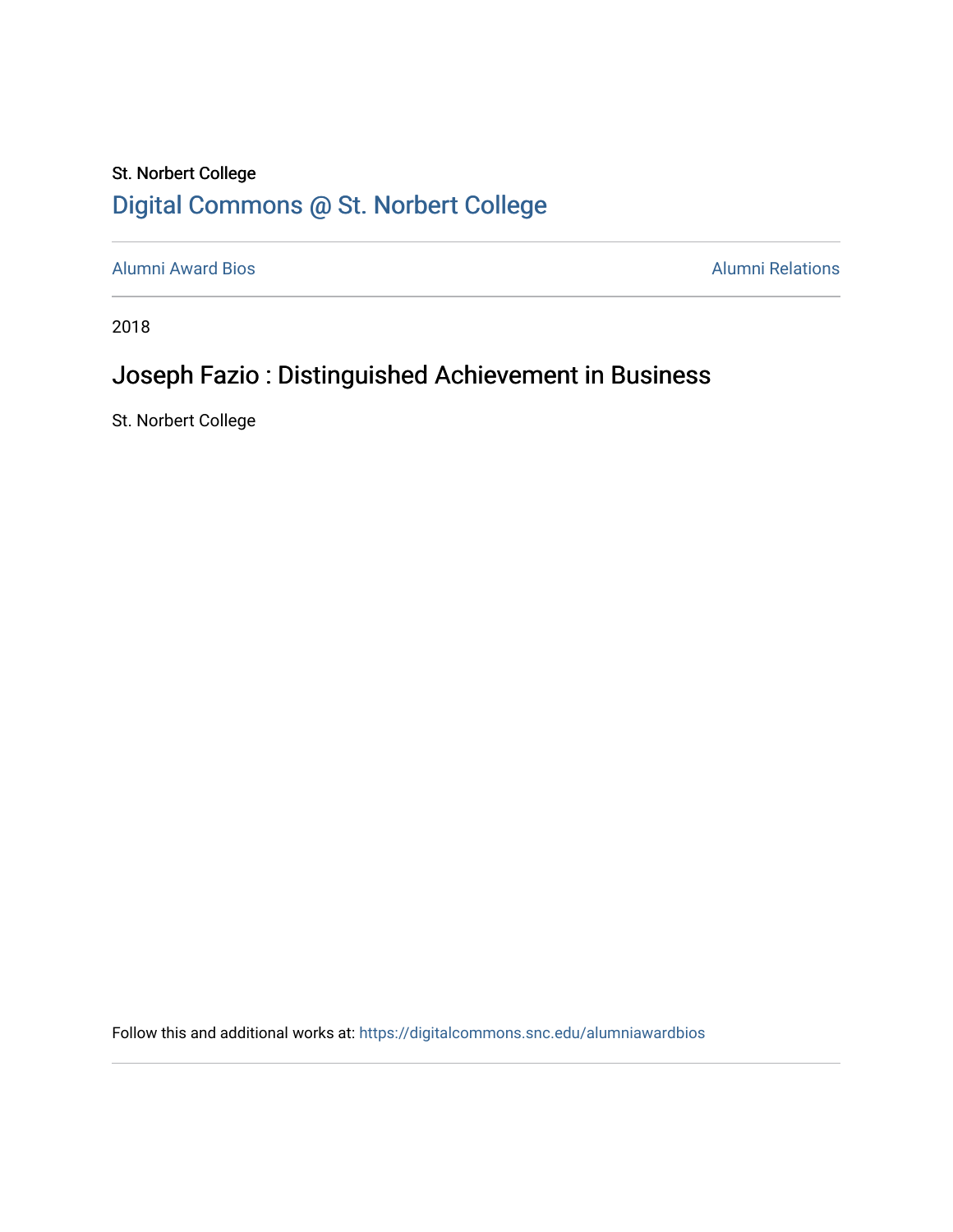## St. Norbert College [Digital Commons @ St. Norbert College](https://digitalcommons.snc.edu/)

[Alumni Award Bios](https://digitalcommons.snc.edu/alumniawardbios) **Alumni Relations** Alumni Relations

2018

# Joseph Fazio : Distinguished Achievement in Business

St. Norbert College

Follow this and additional works at: [https://digitalcommons.snc.edu/alumniawardbios](https://digitalcommons.snc.edu/alumniawardbios?utm_source=digitalcommons.snc.edu%2Falumniawardbios%2F70&utm_medium=PDF&utm_campaign=PDFCoverPages)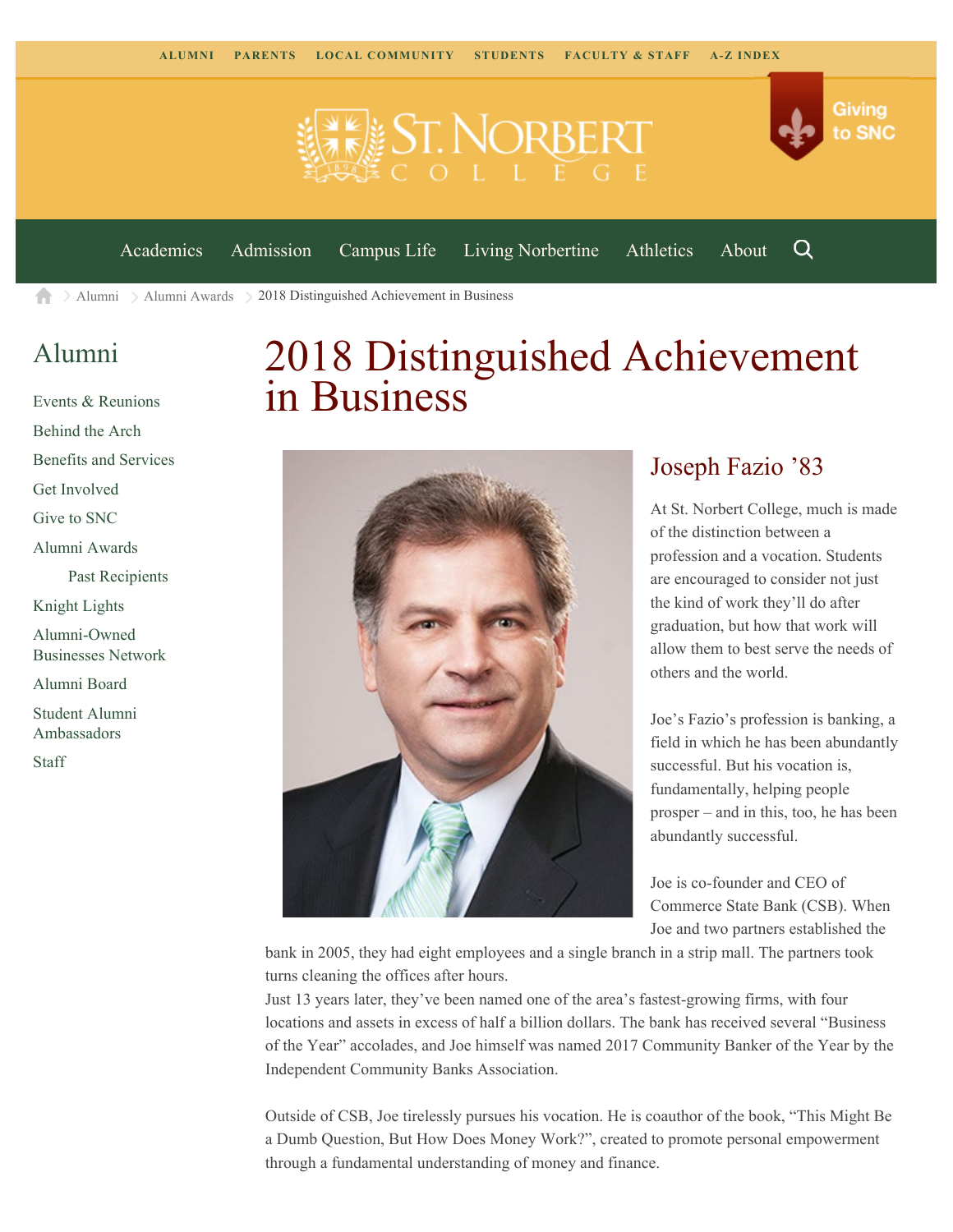



[Academics](https://www.snc.edu/academics) [Admission](https://www.snc.edu/admission) [Campus Life](https://www.snc.edu/campuslife) [Living Norbertine](https://www.snc.edu/livingnorbertine) [Athletics](https://www.snc.edu/athletics) [About](https://www.snc.edu/about)

Q

[Alumni](https://www.snc.edu/alumni/)  $\geq$  [Alumni Awards](https://www.snc.edu/alumni/awards/)  $\geq$  2018 Distinguished Achievement in Business A

### [Alumni](https://www.snc.edu/alumni/index.html)

[Events & Reunions](https://www.snc.edu/alumni/event/index.html) [Behind the Arch](https://www.snc.edu/alumni/event/behindthearch/) [Benefits and Services](https://www.snc.edu/alumni/benefits.html) [Get Involved](https://www.snc.edu/alumni/getinvolved.html) [Give to SNC](http://giving.snc.edu/) [Alumni Awards](https://www.snc.edu/alumni/awards/index.html) [Past Recipients](https://www.snc.edu/alumni/awards/recipients.html) [Knight Lights](https://www.snc.edu/alumni/knightlights/index.html) [Alumni-Owned](https://www.snc.edu/alumni/directory/index.html) [Businesses Network](https://www.snc.edu/alumni/directory/index.html) [Alumni Board](https://www.snc.edu/alumni/alumniboard.html) [Student Alumni](https://www.snc.edu/alumni/saa.html) [Ambassadors](https://www.snc.edu/alumni/saa.html) [Staff](https://www.snc.edu/alumni/contactus.html)

# 2018 Distinguished Achievement in Business



#### Joseph Fazio '83

At St. Norbert College, much is made of the distinction between a profession and a vocation. Students are encouraged to consider not just the kind of work they'll do after graduation, but how that work will allow them to best serve the needs of others and the world.

Joe's Fazio's profession is banking, a field in which he has been abundantly successful. But his vocation is, fundamentally, helping people prosper – and in this, too, he has been abundantly successful.

Joe is co-founder and CEO of Commerce State Bank (CSB). When Joe and two partners established the

bank in 2005, they had eight employees and a single branch in a strip mall. The partners took turns cleaning the offices after hours.

Just 13 years later, they've been named one of the area's fastest-growing firms, with four locations and assets in excess of half a billion dollars. The bank has received several "Business of the Year" accolades, and Joe himself was named 2017 Community Banker of the Year by the Independent Community Banks Association.

Outside of CSB, Joe tirelessly pursues his vocation. He is coauthor of the book, "This Might Be a Dumb Question, But How Does Money Work?", created to promote personal empowerment through a fundamental understanding of money and finance.